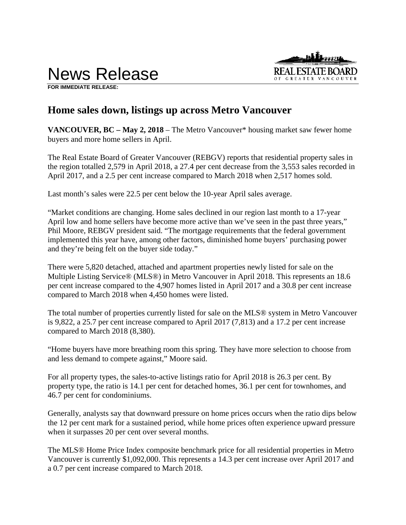News Release



**FOR IMMEDIATE RELEASE:** 

## **Home sales down, listings up across Metro Vancouver**

**VANCOUVER, BC – May 2, 2018** – The Metro Vancouver\* housing market saw fewer home buyers and more home sellers in April.

The Real Estate Board of Greater Vancouver (REBGV) reports that residential property sales in the region totalled 2,579 in April 2018, a 27.4 per cent decrease from the 3,553 sales recorded in April 2017, and a 2.5 per cent increase compared to March 2018 when 2,517 homes sold.

Last month's sales were 22.5 per cent below the 10-year April sales average.

"Market conditions are changing. Home sales declined in our region last month to a 17-year April low and home sellers have become more active than we've seen in the past three years," Phil Moore, REBGV president said. "The mortgage requirements that the federal government implemented this year have, among other factors, diminished home buyers' purchasing power and they're being felt on the buyer side today."

There were 5,820 detached, attached and apartment properties newly listed for sale on the Multiple Listing Service® (MLS®) in Metro Vancouver in April 2018. This represents an 18.6 per cent increase compared to the 4,907 homes listed in April 2017 and a 30.8 per cent increase compared to March 2018 when 4,450 homes were listed.

The total number of properties currently listed for sale on the MLS® system in Metro Vancouver is 9,822, a 25.7 per cent increase compared to April 2017 (7,813) and a 17.2 per cent increase compared to March 2018 (8,380).

"Home buyers have more breathing room this spring. They have more selection to choose from and less demand to compete against," Moore said.

For all property types, the sales-to-active listings ratio for April 2018 is 26.3 per cent. By property type, the ratio is 14.1 per cent for detached homes, 36.1 per cent for townhomes, and 46.7 per cent for condominiums.

Generally, analysts say that downward pressure on home prices occurs when the ratio dips below the 12 per cent mark for a sustained period, while home prices often experience upward pressure when it surpasses 20 per cent over several months.

The MLS® Home Price Index composite benchmark price for all residential properties in Metro Vancouver is currently \$1,092,000. This represents a 14.3 per cent increase over April 2017 and a 0.7 per cent increase compared to March 2018.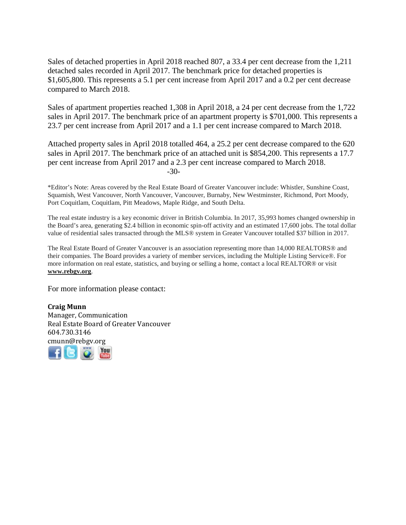Sales of detached properties in April 2018 reached 807, a 33.4 per cent decrease from the 1,211 detached sales recorded in April 2017. The benchmark price for detached properties is \$1,605,800. This represents a 5.1 per cent increase from April 2017 and a 0.2 per cent decrease compared to March 2018.

Sales of apartment properties reached 1,308 in April 2018, a 24 per cent decrease from the 1,722 sales in April 2017. The benchmark price of an apartment property is \$701,000. This represents a 23.7 per cent increase from April 2017 and a 1.1 per cent increase compared to March 2018.

Attached property sales in April 2018 totalled 464, a 25.2 per cent decrease compared to the 620 sales in April 2017. The benchmark price of an attached unit is \$854,200. This represents a 17.7 per cent increase from April 2017 and a 2.3 per cent increase compared to March 2018. -30-

\*Editor's Note: Areas covered by the Real Estate Board of Greater Vancouver include: Whistler, Sunshine Coast, Squamish, West Vancouver, North Vancouver, Vancouver, Burnaby, New Westminster, Richmond, Port Moody, Port Coquitlam, Coquitlam, Pitt Meadows, Maple Ridge, and South Delta.

The real estate industry is a key economic driver in British Columbia. In 2017, 35,993 homes changed ownership in the Board's area, generating \$2.4 billion in economic spin-off activity and an estimated 17,600 jobs. The total dollar value of residential sales transacted through the MLS® system in Greater Vancouver totalled \$37 billion in 2017.

The Real Estate Board of Greater Vancouver is an association representing more than 14,000 REALTORS® and their companies. The Board provides a variety of member services, including the Multiple Listing Service®. For more information on real estate, statistics, and buying or selling a home, contact a local REALTOR® or visit **www.rebgv.org**.

For more information please contact:

**Craig Munn** Manager, Communication Real Estate Board of Greater Vancouver 604.730.3146 cmunn@rebgv.org

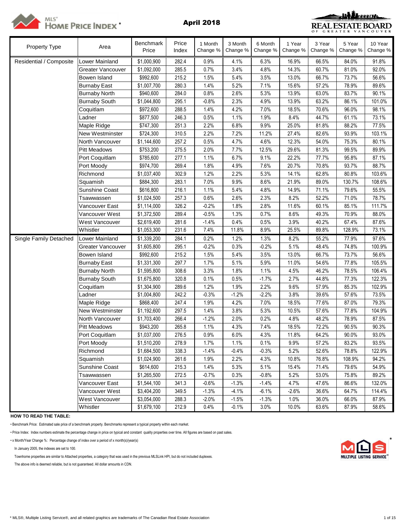



| <b>Property Type</b>    | Area                     | <b>Benchmark</b><br>Price | Price<br>Index | 1 Month<br>Change % | 3 Month<br>Change % | 6 Month<br>Change % | 1 Year<br>Change % | 3 Year<br>Change % | 5 Year<br>Change % | 10 Year<br>Change % |
|-------------------------|--------------------------|---------------------------|----------------|---------------------|---------------------|---------------------|--------------------|--------------------|--------------------|---------------------|
| Residential / Composite | Lower Mainland           | \$1,000,900               | 282.4          | 0.9%                | 4.1%                | 6.3%                | 16.9%              | 66.5%              | 84.0%              | 91.8%               |
|                         | <b>Greater Vancouver</b> | \$1,092,000               | 285.5          | 0.7%                | 3.4%                | 4.8%                | 14.3%              | 60.7%              | 81.0%              | 92.0%               |
|                         | Bowen Island             | \$992,600                 | 215.2          | 1.5%                | 5.4%                | 3.5%                | 13.0%              | 66.7%              | 73.7%              | 56.6%               |
|                         | <b>Burnaby East</b>      | \$1,007,700               | 280.3          | 1.4%                | 5.2%                | 7.1%                | 15.6%              | 57.2%              | 78.9%              | 89.6%               |
|                         | <b>Burnaby North</b>     | \$940,600                 | 284.0          | 0.8%                | 2.6%                | 5.3%                | 13.9%              | 63.0%              | 83.7%              | 90.1%               |
|                         | <b>Burnaby South</b>     | \$1,044,800               | 295.1          | $-0.8%$             | 2.3%                | 4.9%                | 13.9%              | 63.2%              | 86.1%              | 101.0%              |
|                         | Coquitlam                | \$972,600                 | 288.5          | 1.4%                | 4.2%                | 7.0%                | 18.5%              | 70.6%              | 96.0%              | 98.1%               |
|                         | Ladner                   | \$877,500                 | 246.3          | 0.5%                | 1.1%                | 1.9%                | 8.4%               | 44.7%              | 61.1%              | 73.1%               |
|                         | Maple Ridge              | \$747,300                 | 251.3          | 2.2%                | 6.8%                | 9.9%                | 25.0%              | 81.8%              | 88.2%              | 77.5%               |
|                         | New Westminster          | \$724,300                 | 310.5          | 2.2%                | 7.2%                | 11.2%               | 27.4%              | 82.6%              | 93.9%              | 103.1%              |
|                         | North Vancouver          | \$1,144,600               | 257.2          | 0.5%                | 4.7%                | 4.6%                | 12.3%              | 54.0%              | 75.3%              | 80.1%               |
|                         | <b>Pitt Meadows</b>      | \$753,200                 | 275.5          | 2.0%                | 7.7%                | 12.5%               | 29.6%              | 81.3%              | 99.5%              | 89.9%               |
|                         | Port Coquitlam           | \$785,600                 | 277.1          | 1.1%                | 6.7%                | 9.1%                | 22.2%              | 77.7%              | 95.8%              | 87.1%               |
|                         | Port Moody               | \$974,700                 | 269.4          | 1.8%                | 4.9%                | 7.6%                | 20.7%              | 70.8%              | 93.7%              | 88.7%               |
|                         | Richmond                 | \$1,037,400               | 302.9          | 1.2%                | 2.2%                | 5.3%                | 14.1%              | 62.8%              | 80.8%              | 103.6%              |
|                         | Squamish                 | \$884,300                 | 283.1          | 7.0%                | 9.9%                | 8.6%                | 21.9%              | 89.0%              | 130.7%             | 108.6%              |
|                         | Sunshine Coast           | \$616,800                 | 216.1          | 1.1%                | 5.4%                | 4.8%                | 14.9%              | 71.1%              | 79.6%              | 55.5%               |
|                         | Tsawwassen               | \$1,024,500               | 257.3          | 0.6%                | 2.6%                | 2.3%                | 8.2%               | 52.2%              | 71.0%              | 78.7%               |
|                         | Vancouver East           | \$1,114,000               | 326.2          | $-0.2%$             | 1.8%                | 2.8%                | 11.6%              | 60.1%              | 85.1%              | 111.7%              |
|                         | Vancouver West           | \$1,372,500               | 289.4          | $-0.5%$             | 1.3%                | 0.7%                | 8.6%               | 49.3%              | 70.9%              | 88.0%               |
|                         | West Vancouver           | \$2,619,400               | 281.6          | $-1.4%$             | 0.4%                | 0.5%                | 3.9%               | 40.2%              | 67.4%              | 87.6%               |
|                         | Whistler                 | \$1,053,300               | 231.6          | 7.4%                | 11.8%               | 8.9%                | 25.5%              | 89.8%              | 128.9%             | 73.1%               |
| Single Family Detached  | Lower Mainland           | \$1,339,200               | 284.1          | 0.2%                | 1.2%                | 1.3%                | 8.2%               | 55.2%              | 77.9%              | 97.6%               |
|                         | Greater Vancouver        | \$1,605,800               | 295.1          | $-0.2%$             | 0.3%                | $-0.2%$             | 5.1%               | 48.4%              | 74.8%              | 100.9%              |
|                         | Bowen Island             | \$992,600                 | 215.2          | 1.5%                | 5.4%                | 3.5%                | 13.0%              | 66.7%              | 73.7%              | 56.6%               |
|                         | <b>Burnaby East</b>      | \$1,331,300               | 297.7          | 1.7%                | 5.1%                | 5.9%                | 11.0%              | 54.6%              | 77.8%              | 105.5%              |
|                         | <b>Burnaby North</b>     | \$1,595,800               | 308.6          | 3.3%                | 1.8%                | 1.1%                | 4.5%               | 46.2%              | 78.5%              | 106.4%              |
|                         | <b>Burnaby South</b>     | \$1,675,800               | 320.8          | 0.1%                | 0.5%                | $-1.7%$             | 2.7%               | 44.8%              | 77.3%              | 122.3%              |
|                         | Coquitlam                | \$1,304,900               | 289.6          | 1.2%                | 1.9%                | 2.2%                | 9.6%               | 57.9%              | 85.3%              | 102.9%              |
|                         | Ladner                   | \$1,004,800               | 242.2          | $-0.3%$             | $-1.2%$             | $-2.2%$             | 3.8%               | 39.6%              | 57.6%              | 73.5%               |
|                         | Maple Ridge              | \$868,400                 | 247.4          | 1.9%                | 4.2%                | 7.0%                | 18.5%              | 77.6%              | 87.0%              | 79.3%               |
|                         | New Westminster          | \$1,192,600               | 297.5          | 1.4%                | 3.8%                | 5.3%                | 10.5%              | 57.6%              | 77.8%              | 104.9%              |
|                         | North Vancouver          | \$1,703,400               | 266.4          | $-1.2%$             | 2.0%                | 0.2%                | 4.8%               | 48.2%              | 78.9%              | 87.5%               |
|                         | <b>Pitt Meadows</b>      | \$943,200                 | 265.8          | 1.1%                | 4.3%                | 7.4%                | 18.5%              | 72.2%              | 90.5%              | 90.3%               |
|                         | Port Coquitlam           | \$1,037,000               | 276.5          | 0.9%                | 6.0%                | 4.3%                | 11.8%              | 64.2%              | 90.0%              | 93.0%               |
|                         | Port Moody               | \$1,510,200               | 278.9          | 1.7%                | 1.1%                | 0.1%                | 9.9%               | 57.2%              | 83.2%              | 93.5%               |
|                         | Richmond                 | \$1,684,500               | 338.3          | $-1.4%$             | $-0.4%$             | $-0.3%$             | 5.2%               | 52.6%              | 78.8%              | 122.9%              |
|                         | Squamish                 | \$1,024,900               | 261.6          | 1.9%                | 2.2%                | 4.3%                | 10.8%              | 76.8%              | 108.9%             | 94.2%               |
|                         | <b>Sunshine Coast</b>    | \$614,600                 | 215.3          | 1.4%                | 5.3%                | 5.1%                | 15.4%              | 71.4%              | 79.6%              | 54.9%               |
|                         | Tsawwassen               | \$1,265,500               | 272.5          | $-0.7%$             | 0.3%                | $-0.8%$             | 5.2%               | 53.0%              | 75.8%              | 89.2%               |
|                         | Vancouver East           | \$1,544,100               | 341.3          | $-0.6%$             | $-1.3%$             | $-1.4%$             | 4.7%               | 47.6%              | 86.6%              | 132.0%              |
|                         | Vancouver West           | \$3,404,200               | 349.5          | $-1.3%$             | $-4.1%$             | $-6.1%$             | $-2.6%$            | 36.6%              | 64.7%              | 114.4%              |
|                         | West Vancouver           | \$3,054,000               | 288.3          | $-2.0%$             | $-1.5%$             | $-1.3%$             | 1.0%               | 36.0%              | 66.0%              | 87.9%               |
|                         | Whistler                 | \$1,679,100               | 212.9          | 0.4%                | $-0.1%$             | 3.0%                | 10.0%              | 63.6%              | 87.9%              | 58.6%               |

### **HOW TO READ THE TABLE:**

• Benchmark Price: Estimated sale price of a benchmark property. Benchmarks represent a typical property within each market.

• Price Index: Index numbers estimate the percentage change in price on typical and constant quality properties over time. All figures are based on past sales.

• x Month/Year Change %: Percentage change of index over a period of x month(s)/year(s) \*

In January 2005, the indexes are set to 100.

Townhome properties are similar to Attached properties, a category that was used in the previous MLSLink HPI, but do not included duplexes.

The above info is deemed reliable, but is not guaranteed. All dollar amounts in CDN.

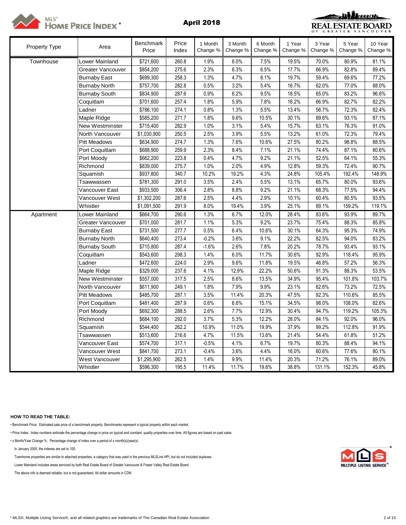



| <b>Property Type</b> | Area                  | <b>Benchmark</b><br>Price | Price<br>Index | 1 Month<br>Change % | 3 Month<br>Change % | 6 Month<br>Change % | 1 Year<br>Change % | 3 Year<br>Change % | 5 Year<br>Change % | 10 Year<br>Change % |
|----------------------|-----------------------|---------------------------|----------------|---------------------|---------------------|---------------------|--------------------|--------------------|--------------------|---------------------|
| Townhouse            | Lower Mainland        | \$721,600                 | 260.8          | 1.9%                | 6.0%                | 7.5%                | 19.5%              | 70.0%              | 80.9%              | 81.1%               |
|                      | Greater Vancouver     | \$854,200                 | 275.6          | 2.3%                | 6.3%                | 6.5%                | 17.7%              | 66.9%              | 82.8%              | 89.4%               |
|                      | <b>Burnaby East</b>   | \$699,300                 | 258.3          | 1.3%                | 4.7%                | 8.1%                | 19.7%              | 59.4%              | 69.6%              | 77.2%               |
|                      | <b>Burnaby North</b>  | \$757,700                 | 282.8          | 0.5%                | 3.2%                | 5.4%                | 16.7%              | 62.0%              | 77.0%              | 88.0%               |
|                      | <b>Burnaby South</b>  | \$834,900                 | 287.6          | 0.9%                | 6.2%                | 9.5%                | 18.5%              | 65.0%              | 83.2%              | 96.6%               |
|                      | Coquitlam             | \$701,600                 | 257.4          | 1.8%                | 5.9%                | 7.8%                | 16.2%              | 66.9%              | 82.7%              | 82.2%               |
|                      | Ladner                | \$786,100                 | 274.1          | 0.8%                | 1.3%                | 5.5%                | 13.4%              | 56.7%              | 72.3%              | 82.4%               |
|                      | Maple Ridge           | \$585,200                 | 271.7          | 1.8%                | 9.6%                | 10.5%               | 30.1%              | 89.6%              | 93.1%              | 87.1%               |
|                      | New Westminster       | \$715,400                 | 282.9          | 1.0%                | 3.1%                | 5.4%                | 15.7%              | 63.1%              | 76.3%              | 91.0%               |
|                      | North Vancouver       | \$1,030,900               | 250.5          | 2.5%                | 3.9%                | 5.5%                | 13.2%              | 61.0%              | 72.3%              | 79.4%               |
|                      | <b>Pitt Meadows</b>   | \$634,900                 | 274.7          | 1.3%                | 7.6%                | 10.6%               | 27.5%              | 80.2%              | 98.8%              | 88.5%               |
|                      | Port Coquitlam        | \$688,900                 | 259.9          | 2.3%                | 8.4%                | 7.1%                | 21.1%              | 74.4%              | 87.1%              | 80.6%               |
|                      | Port Moody            | \$662,200                 | 223.8          | 0.4%                | 4.7%                | 9.2%                | 21.1%              | 52.5%              | 64.1%              | 55.3%               |
|                      | Richmond              | \$839,000                 | 275.7          | 1.0%                | 2.0%                | 4.9%                | 12.8%              | 59.3%              | 72.4%              | 90.7%               |
|                      | Squamish              | \$937,800                 | 340.7          | 10.2%               | 19.2%               | 4.3%                | 24.8%              | 105.4%             | 192.4%             | 148.9%              |
|                      | Tsawwassen            | \$781,300                 | 291.0          | 3.5%                | 2.4%                | 5.5%                | 13.1%              | 65.7%              | 80.0%              | 93.6%               |
|                      | Vancouver East        | \$933,500                 | 306.4          | 2.8%                | 8.8%                | 9.2%                | 21.1%              | 68.3%              | 77.5%              | 94.4%               |
|                      | Vancouver West        | \$1,302,200               | 287.6          | 2.5%                | 4.4%                | 2.9%                | 10.1%              | 60.4%              | 80.5%              | 93.5%               |
|                      | Whistler              | \$1,091,500               | 291.9          | 8.0%                | 19.4%               | 3.9%                | 25.1%              | 89.1%              | 159.2%             | 119.1%              |
| Apartment            | Lower Mainland        | \$664,700                 | 290.6          | 1.3%                | 6.7%                | 12.0%               | 28.4%              | 83.6%              | 93.9%              | 89.7%               |
|                      | Greater Vancouver     | \$701,000                 | 281.7          | 1.1%                | 5.3%                | 9.2%                | 23.7%              | 75.4%              | 88.3%              | 85.8%               |
|                      | <b>Burnaby East</b>   | \$731,500                 | 277.7          | 0.5%                | 6.4%                | 10.6%               | 30.1%              | 64.3%              | 95.3%              | 74.9%               |
|                      | <b>Burnaby North</b>  | \$640,400                 | 273.4          | $-0.2%$             | 3.6%                | 9.1%                | 22.2%              | 82.5%              | 94.0%              | 83.2%               |
|                      | <b>Burnaby South</b>  | \$715,800                 | 287.4          | $-1.6%$             | 2.6%                | 7.8%                | 20.2%              | 78.7%              | 93.4%              | 93.1%               |
|                      | Coquitlam             | \$543,600                 | 298.3          | 1.4%                | 6.0%                | 11.7%               | 30.6%              | 92.9%              | 118.4%             | 95.9%               |
|                      | Ladner                | \$472,600                 | 224.0          | 2.9%                | 9.6%                | 11.8%               | 19.5%              | 46.8%              | 57.2%              | 56.3%               |
|                      | Maple Ridge           | \$329,000                 | 237.6          | 4.1%                | 12.9%               | 22.2%               | 50.6%              | 91.3%              | 88.3%              | 53.5%               |
|                      | New Westminster       | \$557,000                 | 317.5          | 2.5%                | 8.6%                | 13.5%               | 34.9%              | 95.4%              | 101.8%             | 103.7%              |
|                      | North Vancouver       | \$611,900                 | 249.1          | 1.8%                | 7.9%                | 9.9%                | 23.1%              | 62.6%              | 73.2%              | 72.5%               |
|                      | <b>Pitt Meadows</b>   | \$485,700                 | 287.1          | 3.5%                | 11.4%               | 20.3%               | 47.5%              | 92.3%              | 110.6%             | 85.5%               |
|                      | Port Coquitlam        | \$481,400                 | 287.9          | 0.6%                | 6.6%                | 15.1%               | 34.5%              | 98.0%              | 108.0%             | 82.6%               |
|                      | Port Moody            | \$692,300                 | 288.5          | 2.6%                | 7.7%                | 12.9%               | 30.4%              | 94.7%              | 119.2%             | 105.3%              |
|                      | Richmond              | \$684,100                 | 292.0          | 3.7%                | 5.3%                | 12.2%               | 28.0%              | 84.1%              | 92.0%              | 96.0%               |
|                      | Squamish              | \$544,400                 | 262.2          | 10.9%               | 11.0%               | 19.9%               | 37.9%              | 99.2%              | 112.8%             | 91.9%               |
|                      | Tsawwassen            | \$513,600                 | 216.6          | 4.7%                | 11.5%               | 13.6%               | 21.4%              | 54.4%              | 61.8%              | 51.2%               |
|                      | Vancouver East        | \$574,700                 | 317.1          | $-0.5%$             | 4.1%                | 6.7%                | 19.7%              | 80.3%              | 88.4%              | 94.1%               |
|                      | Vancouver West        | \$841,700                 | 273.1          | $-0.4%$             | 3.6%                | 4.4%                | 16.0%              | 60.6%              | 77.6%              | 80.1%               |
|                      | <b>West Vancouver</b> | \$1,295,900               | 262.5          | 1.4%                | 9.9%                | 11.4%               | 20.3%              | 71.2%              | 76.1%              | 89.0%               |
|                      | Whistler              | \$596,300                 | 195.5          | 11.4%               | 11.7%               | 19.6%               | 38.8%              | 131.1%             | 152.3%             | 45.8%               |

### **HOW TO READ THE TABLE:**

• Benchmark Price: Estimated sale price of a benchmark property. Benchmarks represent a typical property within each market.

• Price Index: Index numbers estimate the percentage change in price on typical and constant quality properties over time. All figures are based on past sales.

• x Month/Year Change %: Percentage change of index over a period of x month(s)/year(s)

In January 2005, the indexes are set to 100. \*

Townhome properties are similar to attached properties, a category that was used in the previous MLSLink HPI, but do not included duplexes.

Lower Mainland includes areas serviced by both Real Estate Board of Greater Vancouver & Fraser Valley Real Estate Board.

The above info is deemed reliable, but is not guaranteed. All dollar amounts in CDN.

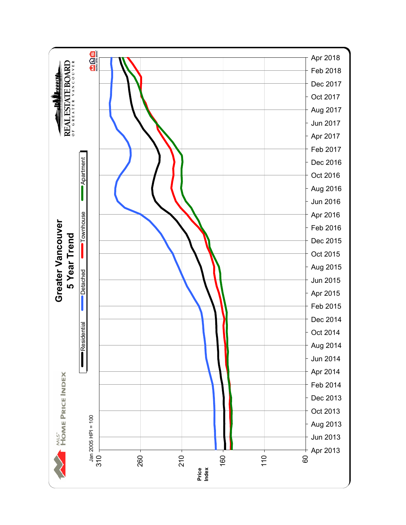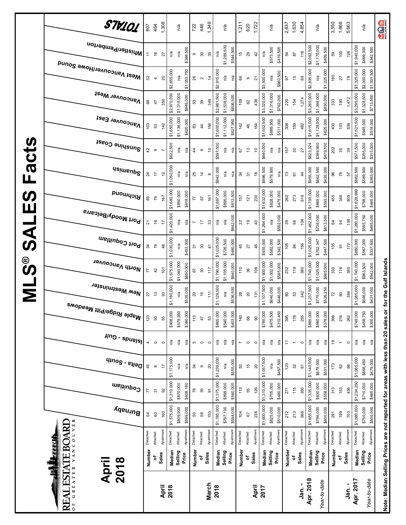|                            | STV101                                                              | 807                | 464                      | 1,308          |             | n/a                 |             | 722           | 446                         | 1,349           |             | n/a                 |           | 1,211           | 620                                  | 1,722           |             | n/a         |           | 2,637          | 1,630          | 4,854          |             | n/a                 |             | 3,550          | 1,866                    | 5,663     |             | n/a                        | $\sum_{\text{unre} \text{ sum}}$                                                  |
|----------------------------|---------------------------------------------------------------------|--------------------|--------------------------|----------------|-------------|---------------------|-------------|---------------|-----------------------------|-----------------|-------------|---------------------|-----------|-----------------|--------------------------------------|-----------------|-------------|-------------|-----------|----------------|----------------|----------------|-------------|---------------------|-------------|----------------|--------------------------|-----------|-------------|----------------------------|-----------------------------------------------------------------------------------|
|                            | ∣Whistler/Pemberton                                                 | $\overline{1}$     | $\frac{6}{5}$            | 27             | n/a         | n/a                 | \$388,500   | თ             | $\boldsymbol{S}$            | 35              | n/a         | \$1,289,500         | \$544,900 | 45              | 29                                   | 42              | n/a         | \$573,500   | \$419,500 | 54             | $\overline{8}$ | 118            | \$2,092,500 | \$1,170,000         | \$409,500   | 59             | 105                      | 128       | \$1,940,000 | \$699,000<br>\$342,500     |                                                                                   |
|                            | Mest Vancouver/Howe Sound                                           | 32                 | $\overline{\phantom{a}}$ | $\overline{c}$ | \$2,655,000 | n/a                 | \$1,053,750 | 26            | $\mathbf{\Omega}$           | $\frac{4}{4}$   | \$2,915,000 | n/a                 | n/a       | 66              | $\circ$                              | $\overline{2}$  | \$3,500,000 | n/a         | \$960,500 | 57             | $\frac{1}{2}$  | 69             | \$2,835,000 | n/a                 | \$1,225,000 | 180            | 27                       | 78        | \$3,325,000 | \$2,000,000<br>\$1,001,500 |                                                                                   |
|                            | <b>Vancouver West</b>                                               | 68                 | 47                       | 350            | \$2,970,000 | \$1,315,000         | \$845,000   | 53            | $\mathcal{S}^{\mathcal{S}}$ | 349             | \$2,981,500 | \$1,538,000         | \$806,500 | $\frac{109}{2}$ | 62                                   | 438             | \$3,320,000 | \$1,316,000 | \$762,000 | 220            | 154            | 1,274          | \$3,265,000 | \$1,398,000         | \$850,000   | 333            | 190                      | 1,472     | \$3,295,000 | \$1,328,500<br>\$713,500   |                                                                                   |
|                            | Vancouver East                                                      | 103                | S3                       | 142            | \$1,650,000 | \$1,136,000         | \$620,000   | 33            | $\frac{4}{3}$               | 156             | \$1,600,000 | \$1,112,000         | \$621,950 | 142             | $\frac{8}{3}$                        | 164             | \$1,552,500 | \$889,950   | \$511,000 | 308            | 159            | 492            | \$1,615,000 | \$1,129,900         | \$625,000   | 430            | 133                      | 538       | \$1,521,500 | \$945,000<br>\$518,000     |                                                                                   |
| <b>Facts</b>               | Sunshine Coast                                                      | 42                 | $\circ$                  |                | \$622,500   | Ρā                  | ηá          | 4             | $\circ$                     | $\overline{c}$  | \$597,500   | n/a                 | ηá        | 57              | $\frac{3}{2}$                        | $\tilde{c}$     | \$640,000   | ηá          | ηa        | 157            | $30\,$         | 27             | \$623,324   | \$389,950           | \$479,100   | 202            | 35                       | 39        | \$571,500   | \$355,000<br>\$315,000     |                                                                                   |
|                            | <b>Usimenp<sup>S</sup></b>                                          | $^{24}$            | $\ddot{ }$               | 5              | \$1,050,000 | n/a                 | n/a         | 25            | $\tilde{4}$                 | $\infty$        | \$942,000   | n/a                 | n/a       | 34              | $\overline{\widetilde{\mathcal{C}}}$ | $\frac{8}{3}$   | \$996,500   | \$579,900   | n/a       | 73             | 61             | $\frac{4}{4}$  | \$955,000   | \$662,500           | \$435,000   | 96             | 78                       | 57        | \$882,500   | \$589,900<br>\$363,000     |                                                                                   |
| $\boldsymbol{\omega}$<br>Ш | Richmond                                                            | 65                 | $\mathcal{L}$            | 167            | \$1,680,000 | \$850,000           | \$618,000   | 77            | 67                          | 161             | \$1,687,000 | \$895,000           | \$613,500 | 157             | 121                                  | 230             | \$1,632,000 | \$828,000   | \$475,000 | 260            | 273            | 616            | \$1,700,000 | \$865,000           | \$593,000   | 455            | 346                      | 805       | \$1,628,999 | \$798,000<br>\$465,000     |                                                                                   |
| <b>UAS</b>                 | Port Moody/Belcarra                                                 | $\overline{2}$     | $\frac{6}{5}$            | 17             | \$1,420,000 | n/a                 | n/a         | 7             | $\ddot{ }$                  | 33              | n/a         | n/a                 | \$642,000 | 22              | $\overline{9}$                       | $\overline{4}$  | \$1,264,500 | n/a         | \$592,000 | 39             | 56             | 104            | \$1,462,000 | \$738,000           | \$613,500   | $\mathfrak{g}$ | 54                       | 138       | \$1,280,000 | \$595,750<br>\$495,000     |                                                                                   |
|                            | Port Coquitlam                                                      | 34                 | é,                       | 48             | \$1,030,000 | n/a                 | \$453,000   | $\frac{1}{2}$ | 30                          | $\frac{4}{1}$   | \$1,025,000 | \$726,500           | \$480,000 | 45              | 27                                   | 48              | \$935,000   | \$582,000   | \$342,500 | 105            | $\mathfrak{A}$ | 156            | \$1,025,000 | \$702,347           | \$447,500   | 135            | $\overline{5}$           | 172       | \$880,000   | \$567,000<br>\$337,500     |                                                                                   |
| <b>SUNIVE</b>              | North Vancouver                                                     | 77                 | 42                       | 101            | \$1,675,000 | \$1,040,000         | \$650,000   | 67            | $30\,$                      | 117             | \$1,790,000 | \$1,105,000         | \$640,000 | 110             | 36                                   | 106             | \$1,900,000 | \$1,002,000 | \$585,000 | 232            | 119            | 380            | \$1,740,000 | \$1,025,000         | \$665,000   | 330            | 116                      | 385       | \$1,740,000 | \$963,500<br>\$542,000     | for the Gulf Islands                                                              |
|                            | New Westminster                                                     | 27                 | $\frac{3}{2}$            | 3              | \$1,180,000 | n/a                 | \$535,000   | $\approx$     | $\frac{6}{5}$               | $\tilde{t}$     | \$1,126,500 | n/a                 | \$536,500 | 28              | $20$                                 | 131             | \$1,107,500 | \$640,000   | \$446,000 | $\rm ^{\rm 8}$ | S3             | 342            | \$1,237,500 | \$775,000           | \$526,250   | $\overline{r}$ | $\rm ^{60}$              | 384       | \$1,085,000 | \$646,000<br>\$431,000     |                                                                                   |
|                            | , <sup>Maple Ridge/Pitt Meadows</sup>                               | 123                | 50                       | 55             | \$908,000   | \$579,950           | \$380,000   | 113           | 47                          | 53              | \$865,000   | \$540,000           | \$403,000 | 140             | 68                                   | 90              | \$785,000   | \$475,500   | \$319,450 | 395            | 178            | 255            | \$885,000   | \$560,000           | \$378,000   | 398            | 216                      | 262       | \$749,000   | \$458,750<br>\$300,000     |                                                                                   |
|                            | JIng - spuelsl                                                      | 4                  | $\circ$                  | $\circ$        | Ρā          | Ρā                  | ηa          | 5             | $\circ$                     | $\circ$         | n/a         | n/a                 | n/a       | $\overline{ }$  | $\circ$                              | $\circ$         | n/a         | n/a         | ηã        | $\div$         | $\overline{ }$ | $\circ$        | Ρá          | $\tilde{P}$         | n'a         | é,             | $\overline{\phantom{a}}$ | $\circ$   | P,d         | n/a<br>n'a                 |                                                                                   |
|                            | $q_{100}$ s - $e_{110}$ q                                           | 45                 | $\infty$                 | $\overline{1}$ | \$1,175,000 | n/a                 | n/a         | 34            | $\circ$                     | $\overline{20}$ | \$1,236,000 | n/a                 | \$555,000 | 52              | 45                                   | $\overline{20}$ | \$1,057,500 | n/a         | \$497,500 | 123            | 32             | $\overline{6}$ | \$1,140,000 | \$678,000           | \$551,000   | 173            | $62\,$                   | 66        | \$1,065,000 | \$668,450<br>\$479,000     |                                                                                   |
|                            | Coquitlam                                                           | 77                 | $\overline{\mathcal{E}}$ | 92             | \$1,310,000 | \$870,000           | \$608,180   | $\approx$     | 35                          | $\overline{5}$  | \$1,375,000 | \$899,000           | \$540,000 | 113             | 55                                   | 126             | \$1,310,000 | \$705,000   | \$480,000 | 271            | 115            | 350            | \$1,335,000 | \$830,000           | \$558,000   | 313            | 153                      | 436       | \$1,234,250 | \$710,000<br>\$465,000     |                                                                                   |
|                            | Burnaby<br><b>ISK</b>                                               | 54                 | $\mbox{ }^\mathrm{SO}$   | 160            | \$1,575,000 | \$809,900           | \$599,000   | 50            | $58\,$                      | 150             | \$1,785,000 | \$797,100           | \$594,000 | 104             | 67                                   | 238             | \$1,600,000 | \$825,000   | \$510,000 | 212            | 213            | 566            | \$1,655,000 | \$786,000           | \$600,000   | 291            | 199                      | 703       | \$1,580,000 | \$750,000<br>\$500,000     |                                                                                   |
|                            | VANCOUVER<br>EEELI                                                  | Detached<br>Number | Attached                 | Apartment      | Detached    | Attached<br>Selling | Apartment   | Detached      | Attached                    | Apartmen        | Detached    | Attached<br>Selling | Apartment | Detached        | Attached                             | Apartment       | Detached    | Attached    | Apartment | Detached       | Attached       | Apartmen       | Detached    | Attached<br>Selling | Apartmen    | Detached       | Attached                 | Apartment | Detached    | Apartment<br>Attached      |                                                                                   |
|                            | <b>ESTATE BO</b><br>2018<br>April<br>ال<br>إيلا <b>م</b><br>GREATER |                    | ۵ŕ                       | Sales          | Median      |                     | Price       | Number        | ٔة                          | Sales           | Median      |                     | Price     | Number          | ٔة                                   | Sales           | Median      | Selling     | Price     | Number         | ō              | Sales          | Median      | Price               |             | Number         | ٥ť                       | Sales     | Median      | Selling<br>Price           |                                                                                   |
|                            | ₹<br>RE<br>$\overline{0}$                                           |                    |                          | April          | 2018        |                     |             |               |                             | March           | 2018        |                     |           |                 |                                      | April           | 2017        |             |           |                |                | Jan. -         | Apr. 2018   | Year-to-date        |             |                |                          | Jan. -    | Apr. 2017   | Year-to-date               | Note: Median Selling Prices are not reported for areas with less than 20 sales or |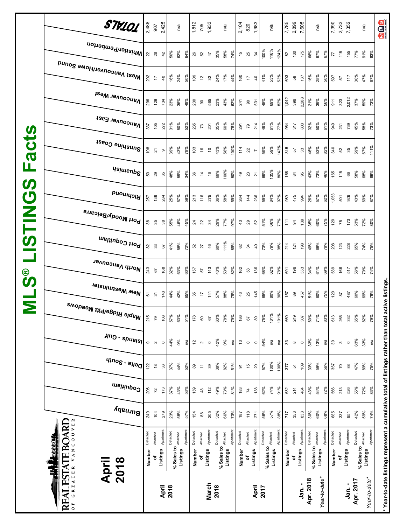| $^\copyright$<br><b>SV</b><br>Ξ | North Vancouver<br>New Westminster<br>, <sup>Maple Ridge/Pitt Meadows</sup><br>$\frac{2}{3}$ - spuels          | 243<br>61<br>215<br>$\circ$             | 67<br>$\overline{\mathfrak{S}}$<br>$\overline{2}$<br>$\sim$ | 168<br>$\frac{143}{1}$<br>108<br>$\circ$  | 32%<br>44%<br>57%<br>44%      | 63%<br>42%<br>63%<br>$0\%$                           | 60%<br>65%<br>51%<br>ΡÁ        | 157<br>35<br>178<br>$\overline{\omega}$ | 57<br>$\overline{\phantom{a}}$<br>$\mbox{ }^\mathrm{SO}$<br>$\sim$                                           | 143<br>$\frac{1}{4}$<br>67<br>$\circ$        | 43%<br>57%<br>63%<br>42%                    | 53%<br>88%<br>78%<br>$0\%$                | 82%<br>79%<br>79%<br>ΡØ.       | 162<br>$43$<br>186<br>$\frac{1}{2}$   | 58<br>25<br>67<br>$\circ$                                       | 136<br>145<br>$\pmb{\mathbb{S}}$<br>$\circ$            | 68%<br>65%<br>75%<br>54%                    | 62%<br>80%<br>101%<br>Ρá                          | 78%<br>90%<br>101%<br>n/a       | 691<br>157<br>660<br>$33\,$             | 196<br>89<br>249<br>$\infty$                   | 34%<br>553<br>457<br>60%<br>307<br>33%<br>$\circ$ | 51%                                  | 61%<br>69%<br>60%<br>75%<br>71%<br>83%<br>13%<br>n/a            | 589<br>120<br>613<br>$30\,$             | 166<br>$\overline{\mathtt{s}}$<br>265<br>$\mathfrak{S}$ | 517<br>487<br>332<br>$\circ$                   | 56%<br>60%<br>65%<br>63%      | 70%<br>69%<br>82%<br>33%                             | 74%<br>79%<br>79%<br>ηá        | ive listings                                                                           |
|---------------------------------|----------------------------------------------------------------------------------------------------------------|-----------------------------------------|-------------------------------------------------------------|-------------------------------------------|-------------------------------|------------------------------------------------------|--------------------------------|-----------------------------------------|--------------------------------------------------------------------------------------------------------------|----------------------------------------------|---------------------------------------------|-------------------------------------------|--------------------------------|---------------------------------------|-----------------------------------------------------------------|--------------------------------------------------------|---------------------------------------------|---------------------------------------------------|---------------------------------|-----------------------------------------|------------------------------------------------|---------------------------------------------------|--------------------------------------|-----------------------------------------------------------------|-----------------------------------------|---------------------------------------------------------|------------------------------------------------|-------------------------------|------------------------------------------------------|--------------------------------|----------------------------------------------------------------------------------------|
|                                 | $q_{100}$ s - $e_{110}$ q<br>Coquitlam<br>Burnaby<br>VANCOUVER<br><b>REAL ESTATE BOARD</b><br><b>TAN TERRE</b> | 122<br>206<br>240<br>Detached<br>Number | $\overset{\circ}{=}$<br>72<br>104<br>Attached<br>۵f         | 33<br>173<br>279<br>Apartment<br>Listings | 37%<br>37%<br>23%<br>Detached | 44%<br>43%<br>58%<br>% Sales to Attached<br>Listings | 52%<br>53%<br>57%<br>Apartment | 89<br>159<br>154<br>Detached<br>Number  | $\stackrel{\scriptstyle\mathsf{r}}{\scriptstyle\mathsf{r}}$<br>$\frac{3}{4}$<br>$^{\tt 8}$<br>Attached<br>۵Ļ | $39\,$<br>12<br>205<br>Apartment<br>Listings | 38%<br>49%<br>32%<br>Detached<br>% Sales to | 82%<br>73%<br>66%<br>Attached<br>Listings | 51%<br>81%<br>73%<br>Apartment | 5<br>183<br>187<br>Detached<br>Number | $\frac{1}{2}$<br>$\overline{\kappa}$<br>$118$<br>Attached<br>۵f | $\overline{20}$<br>138<br>271<br>Apartment<br>Listings | 57%<br>62%<br>56%<br>Detached<br>% Sales to | 100%<br>74%<br>57%<br>Attached<br><b>Listings</b> | 100%<br>91%<br>88%<br>Apartment | 377<br>632<br>717<br>Detached<br>Number | 54<br>214<br>353<br>Attached<br>Listings<br>٥ŕ | 33%<br>109<br>484<br>833<br>Apartment<br>Detached | 43%<br>30%<br>Attached<br>% Sales to | 59%<br>56%<br>54%<br>72%<br>60%<br>68%<br>Apartment<br>Listings | 367<br>566<br>685<br>Detached<br>Number | $\overline{70}$<br>213<br>337<br>Attached<br>đ          | $_{88}$<br>526<br>951<br>Apartment<br>Listings | 47%<br>55%<br>42%<br>Detached | 89%<br>72%<br>59%<br>% Sales to Attached<br>Listings | 75%<br>83%<br>74%<br>Apartment | * Year-to-date listings represent a cumulative total of listings rather than total act |
|                                 | <b>April</b><br>2018                                                                                           |                                         |                                                             | April                                     | 2018                          |                                                      |                                |                                         |                                                                                                              | March                                        | 2018                                        |                                           |                                |                                       |                                                                 | April                                                  | 2017                                        |                                                   |                                 |                                         |                                                | Apr. 2018<br>Jan. -                               |                                      | Year-to-date                                                    |                                         |                                                         | Jan.                                           | Apr. 2017                     | Year-to-date*                                        |                                |                                                                                        |

**\* Year-to-date listings represent a cumulative total of listings rather than total active listings.**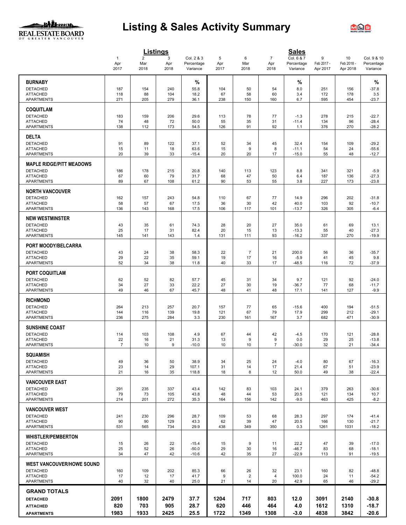## <u>ullean</u> REAL ESTATE BOARD

# **Listing & Sales Activity Summary**



|                                      |                             |                               | <b>Listings</b>  |                                      |                  |                        |                               | <b>Sales</b>                         |                             |                              |                                       |
|--------------------------------------|-----------------------------|-------------------------------|------------------|--------------------------------------|------------------|------------------------|-------------------------------|--------------------------------------|-----------------------------|------------------------------|---------------------------------------|
|                                      | $\mathbf{1}$<br>Apr<br>2017 | $\overline{2}$<br>Mar<br>2018 | 3<br>Apr<br>2018 | Col. 2 & 3<br>Percentage<br>Variance | 5<br>Apr<br>2017 | 6<br>Mar<br>2018       | $\overline{7}$<br>Apr<br>2018 | Col. 6 & 7<br>Percentage<br>Variance | 9<br>Feb 2017 -<br>Apr 2017 | 10<br>Feb 2018 -<br>Apr 2018 | Col. 9 & 10<br>Percentage<br>Variance |
|                                      |                             |                               |                  |                                      |                  |                        |                               |                                      |                             |                              |                                       |
| <b>BURNABY</b><br><b>DETACHED</b>    | 187                         | 154                           | 240              | %<br>55.8                            | 104              | 50                     | 54                            | %<br>8.0                             | 251                         | 156                          | %<br>$-37.8$                          |
| <b>ATTACHED</b>                      | 118                         | 88                            | 104              | 18.2                                 | 67               | 58                     | 60                            | 3.4                                  | 172                         | 178                          | 3.5                                   |
| <b>APARTMENTS</b>                    | 271                         | 205                           | 279              | 36.1                                 | 238              | 150                    | 160                           | 6.7                                  | 595                         | 454                          | $-23.7$                               |
| <b>COQUITLAM</b>                     |                             |                               |                  |                                      |                  |                        |                               |                                      |                             |                              |                                       |
| <b>DETACHED</b>                      | 183                         | 159                           | 206              | 29.6                                 | 113              | 78                     | 77                            | $-1.3$                               | 278                         | 215                          | $-22.7$                               |
| <b>ATTACHED</b><br><b>APARTMENTS</b> | 74<br>138                   | 48<br>112                     | 72<br>173        | 50.0<br>54.5                         | 55<br>126        | 35<br>91               | 31<br>92                      | $-11.4$<br>1.1                       | 134<br>376                  | 96<br>270                    | $-28.4$<br>$-28.2$                    |
| <b>DELTA</b>                         |                             |                               |                  |                                      |                  |                        |                               |                                      |                             |                              |                                       |
| <b>DETACHED</b>                      | 91                          | 89                            | 122              | 37.1                                 | 52               | 34                     | 45                            | 32.4                                 | 154                         | 109                          | $-29.2$                               |
| <b>ATTACHED</b><br><b>APARTMENTS</b> | 15<br>20                    | 11                            | 18               | 63.6                                 | 15               | $\boldsymbol{9}$<br>20 | 8                             | $-11.1$                              | 54                          | 24<br>48                     | $-55.6$                               |
|                                      |                             | 39                            | 33               | $-15.4$                              | 20               |                        | 17                            | $-15.0$                              | 55                          |                              | $-12.7$                               |
| <b>MAPLE RIDGE/PITT MEADOWS</b>      |                             |                               |                  |                                      |                  |                        |                               |                                      |                             |                              |                                       |
| <b>DETACHED</b><br><b>ATTACHED</b>   | 186<br>67                   | 178<br>60                     | 215<br>79        | 20.8<br>31.7                         | 140<br>68        | 113<br>47              | 123<br>50                     | 8.8<br>6.4                           | 341<br>187                  | 321<br>136                   | $-5.9$<br>$-27.3$                     |
| APARTMENTS                           | 89                          | 67                            | 108              | 61.2                                 | 90               | 53                     | 55                            | 3.8                                  | 227                         | 173                          | $-23.8$                               |
| <b>NORTH VANCOUVER</b>               |                             |                               |                  |                                      |                  |                        |                               |                                      |                             |                              |                                       |
| <b>DETACHED</b>                      | 162                         | 157                           | 243              | 54.8                                 | 110              | 67                     | 77                            | 14.9                                 | 296                         | 202                          | $-31.8$                               |
| <b>ATTACHED</b><br><b>APARTMENTS</b> | 58<br>136                   | 57<br>143                     | 67<br>168        | 17.5<br>17.5                         | 36<br>106        | 30<br>117              | 42<br>101                     | 40.0<br>$-13.7$                      | 103<br>326                  | 92<br>305                    | $-10.7$<br>$-6.4$                     |
| <b>NEW WESTMINSTER</b>               |                             |                               |                  |                                      |                  |                        |                               |                                      |                             |                              |                                       |
| <b>DETACHED</b>                      | 43                          | 35                            | 61               | 74.3                                 | 28               | 20                     | 27                            | 35.0                                 | 61                          | 69                           | 13.1                                  |
| <b>ATTACHED</b>                      | 25<br>145                   | 17                            | 31               | 82.4                                 | 20               | 15                     | 13                            | $-13.3$<br>$-16.2$                   | 55                          | 40                           | $-27.3$                               |
| APARTMENTS                           |                             | 141                           | 143              | 1.4                                  | 131              | 111                    | 93                            |                                      | 337                         | 270                          | $-19.9$                               |
| <b>PORT MOODY/BELCARRA</b>           |                             |                               |                  |                                      |                  |                        |                               |                                      |                             |                              |                                       |
| <b>DETACHED</b><br><b>ATTACHED</b>   | 43<br>29                    | 24<br>22                      | 38<br>35         | 58.3<br>59.1                         | 22<br>19         | $\overline{7}$<br>17   | 21<br>16                      | 200.0<br>$-5.9$                      | 56<br>41                    | 36<br>45                     | $-35.7$<br>9.8                        |
| <b>APARTMENTS</b>                    | 52                          | 34                            | 38               | 11.8                                 | 40               | 33                     | 17                            | $-48.5$                              | 116                         | 72                           | $-37.9$                               |
| <b>PORT COQUITLAM</b>                |                             |                               |                  |                                      |                  |                        |                               |                                      |                             |                              |                                       |
| <b>DETACHED</b>                      | 62                          | 52                            | 82               | 57.7                                 | 45               | 31                     | 34                            | 9.7                                  | 121                         | 92                           | $-24.0$                               |
| <b>ATTACHED</b><br><b>APARTMENTS</b> | 34<br>49                    | 27<br>46                      | 33<br>67         | 22.2<br>45.7                         | 27<br>48         | 30<br>41               | 19<br>48                      | $-36.7$<br>17.1                      | 77<br>141                   | 68<br>127                    | $-11.7$<br>$-9.9$                     |
| <b>RICHMOND</b>                      |                             |                               |                  |                                      |                  |                        |                               |                                      |                             |                              |                                       |
| <b>DETACHED</b>                      | 264                         | 213                           | 257              | 20.7                                 | 157              | 77                     | 65                            | $-15.6$                              | 400                         | 194                          | $-51.5$                               |
| <b>ATTACHED</b>                      | 144                         | 116                           | 139              | 19.8                                 | 121              | 67                     | 79                            | 17.9                                 | 299                         | 212                          | $-29.1$                               |
| <b>APARTMENTS</b>                    | 236                         | 275                           | 284              | 3.3                                  | 230              | 161                    | 167                           | 3.7                                  | 682                         | 471                          | $-30.9$                               |
| <b>SUNSHINE COAST</b>                |                             |                               |                  |                                      |                  |                        |                               |                                      |                             |                              |                                       |
| <b>DETACHED</b><br><b>ATTACHED</b>   | 114<br>22                   | 103<br>16                     | 108<br>21        | 4.9<br>31.3                          | 67<br>13         | 44<br>$\boldsymbol{9}$ | 42<br>9                       | $-4.5$<br>0.0                        | 170<br>29                   | 121<br>25                    | $-28.8$<br>$-13.8$                    |
| <b>APARTMENTS</b>                    | $\overline{7}$              | 10                            | 9                | $-10.0$                              | 10               | 10                     | 7                             | $-30.0$                              | 32                          | 21                           | $-34.4$                               |
| <b>SQUAMISH</b>                      |                             |                               |                  |                                      |                  |                        |                               |                                      |                             |                              |                                       |
| <b>DETACHED</b>                      | 49                          | 36                            | 50               | 38.9                                 | 34               | 25                     | 24                            | $-4.0$                               | 80                          | 67                           | $-16.3$                               |
| <b>ATTACHED</b><br><b>APARTMENTS</b> | 23<br>21                    | 14<br>16                      | 29<br>35         | 107.1<br>118.8                       | 31<br>18         | 14<br>8                | 17<br>12                      | 21.4<br>50.0                         | 67<br>49                    | 51<br>38                     | $-23.9$<br>$-22.4$                    |
| <b>VANCOUVER EAST</b>                |                             |                               |                  |                                      |                  |                        |                               |                                      |                             |                              |                                       |
| <b>DETACHED</b>                      | 291                         | 235                           | 337              | 43.4                                 | 142              | 83                     | 103                           | 24.1                                 | 379                         | 263                          | $-30.6$                               |
| <b>ATTACHED</b>                      | 79                          | 73                            | 105<br>272       | 43.8                                 | 48               | 44                     | 53                            | 20.5                                 | 121                         | 134                          | 10.7                                  |
| <b>APARTMENTS</b>                    | 214                         | 201                           |                  | 35.3                                 | 164              | 156                    | 142                           | $-9.0$                               | 463                         | 425                          | $-8.2$                                |
| <b>VANCOUVER WEST</b>                |                             |                               |                  |                                      |                  |                        |                               |                                      |                             |                              |                                       |
| <b>DETACHED</b><br><b>ATTACHED</b>   | 241<br>90                   | 230<br>90                     | 296<br>129       | 28.7<br>43.3                         | 109<br>62        | 53<br>39               | 68<br>47                      | 28.3<br>20.5                         | 297<br>166                  | 174<br>130                   | $-41.4$<br>$-21.7$                    |
| <b>APARTMENTS</b>                    | 531                         | 565                           | 734              | 29.9                                 | 438              | 349                    | 350                           | 0.3                                  | 1261                        | 1031                         | $-18.2$                               |
| <b>WHISTLER/PEMBERTON</b>            |                             |                               |                  |                                      |                  |                        |                               |                                      |                             |                              |                                       |
| <b>DETACHED</b>                      | 15                          | 26                            | 22               | $-15.4$                              | 15               | 9                      | 11                            | 22.2                                 | 47                          | 39                           | $-17.0$                               |
| <b>ATTACHED</b><br><b>APARTMENTS</b> | 25<br>34                    | 52<br>47                      | 26<br>42         | $-50.0$<br>$-10.6$                   | 29<br>42         | 30<br>35               | 16<br>27                      | $-46.7$<br>$-22.9$                   | 83<br>113                   | 68<br>91                     | $-18.1$<br>$-19.5$                    |
| <b>WEST VANCOUVER/HOWE SOUND</b>     |                             |                               |                  |                                      |                  |                        |                               |                                      |                             |                              |                                       |
| <b>DETACHED</b>                      | 160                         | 109                           | 202              | 85.3                                 | 66               | 26                     | 32                            | 23.1                                 | 160                         | 82                           | $-48.8$                               |
| <b>ATTACHED</b>                      | 17                          | 12                            | 17               | 41.7                                 | 9                | $\overline{2}$         | 4                             | 100.0                                | 24                          | 11                           | $-54.2$                               |
| APARTMENTS                           | 40                          | 32                            | 40               | 25.0                                 | 21               | 14                     | 20                            | 42.9                                 | 65                          | 46                           | $-29.2$                               |
| <b>GRAND TOTALS</b>                  |                             |                               |                  |                                      |                  |                        |                               |                                      |                             |                              |                                       |
| <b>DETACHED</b><br><b>ATTACHED</b>   | 2091<br>820                 | 1800<br>703                   | 2479<br>905      | 37.7<br>28.7                         | 1204<br>620      | 717<br>446             | 803<br>464                    | 12.0<br>4.0                          | 3091<br>1612                | 2140<br>1310                 | -30.8<br>$-18.7$                      |
| <b>APARTMENTS</b>                    | 1983                        | 1933                          | 2425             | 25.5                                 | 1722             | 1349                   | 1308                          | $-3.0$                               | 4838                        | 3842                         | $-20.6$                               |
|                                      |                             |                               |                  |                                      |                  |                        |                               |                                      |                             |                              |                                       |